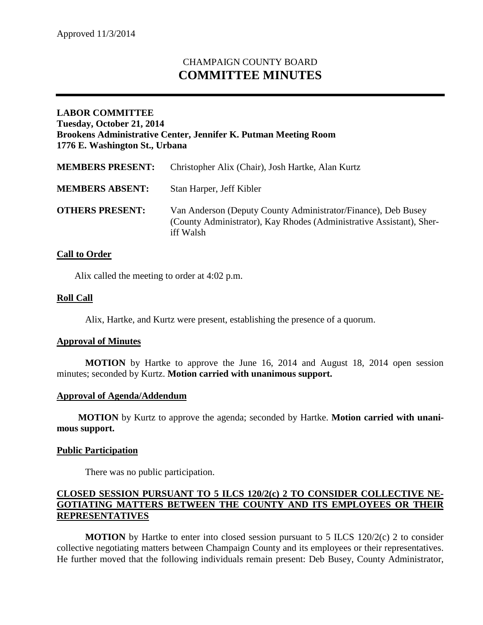# CHAMPAIGN COUNTY BOARD **COMMITTEE MINUTES**

# **LABOR COMMITTEE Tuesday, October 21, 2014 Brookens Administrative Center, Jennifer K. Putman Meeting Room 1776 E. Washington St., Urbana**

| <b>MEMBERS PRESENT:</b> | Christopher Alix (Chair), Josh Hartke, Alan Kurtz                                                                                                  |
|-------------------------|----------------------------------------------------------------------------------------------------------------------------------------------------|
| <b>MEMBERS ABSENT:</b>  | Stan Harper, Jeff Kibler                                                                                                                           |
| <b>OTHERS PRESENT:</b>  | Van Anderson (Deputy County Administrator/Finance), Deb Busey<br>(County Administrator), Kay Rhodes (Administrative Assistant), Sher-<br>iff Walsh |

# **Call to Order**

Alix called the meeting to order at 4:02 p.m.

# **Roll Call**

Alix, Hartke, and Kurtz were present, establishing the presence of a quorum.

#### **Approval of Minutes**

**MOTION** by Hartke to approve the June 16, 2014 and August 18, 2014 open session minutes; seconded by Kurtz. **Motion carried with unanimous support.**

#### **Approval of Agenda/Addendum**

**MOTION** by Kurtz to approve the agenda; seconded by Hartke. **Motion carried with unanimous support.**

#### **Public Participation**

There was no public participation.

#### **CLOSED SESSION PURSUANT TO 5 ILCS 120/2(c) 2 TO CONSIDER COLLECTIVE NE-GOTIATING MATTERS BETWEEN THE COUNTY AND ITS EMPLOYEES OR THEIR REPRESENTATIVES**

**MOTION** by Hartke to enter into closed session pursuant to 5 ILCS 120/2(c) 2 to consider collective negotiating matters between Champaign County and its employees or their representatives. He further moved that the following individuals remain present: Deb Busey, County Administrator,